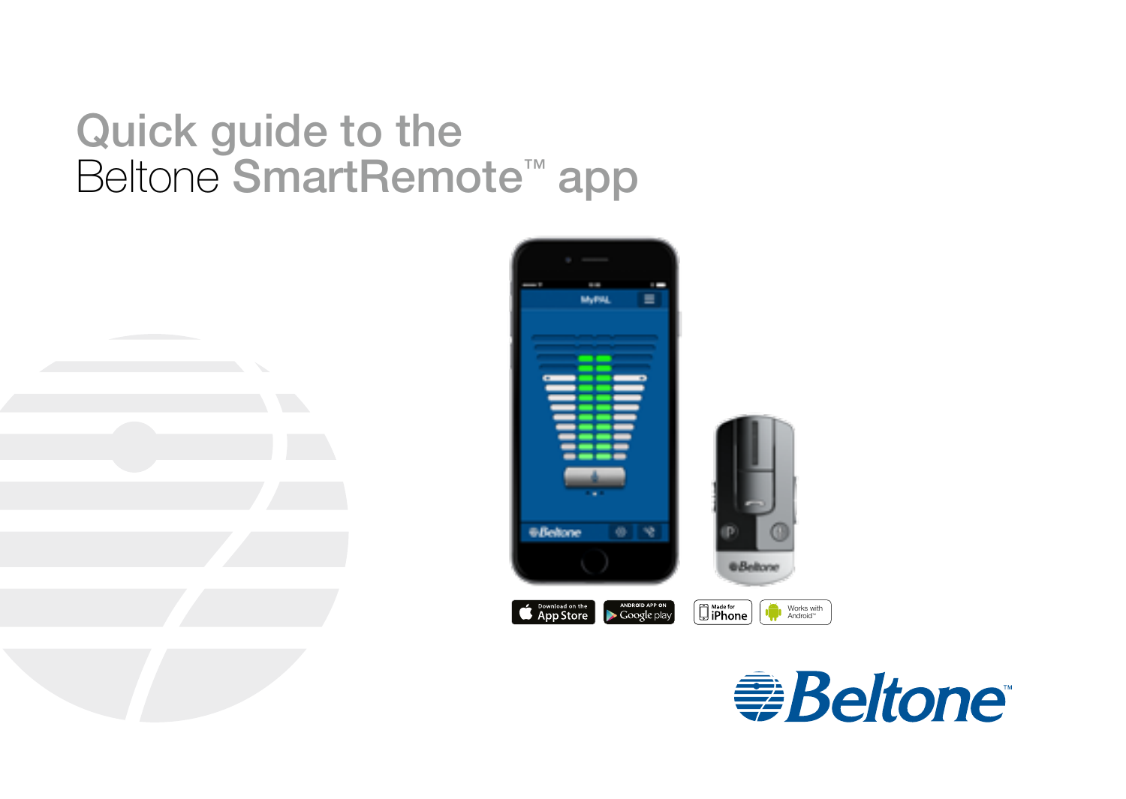# Quick guide to the Beltone SmartRemote<sup>™</sup> app



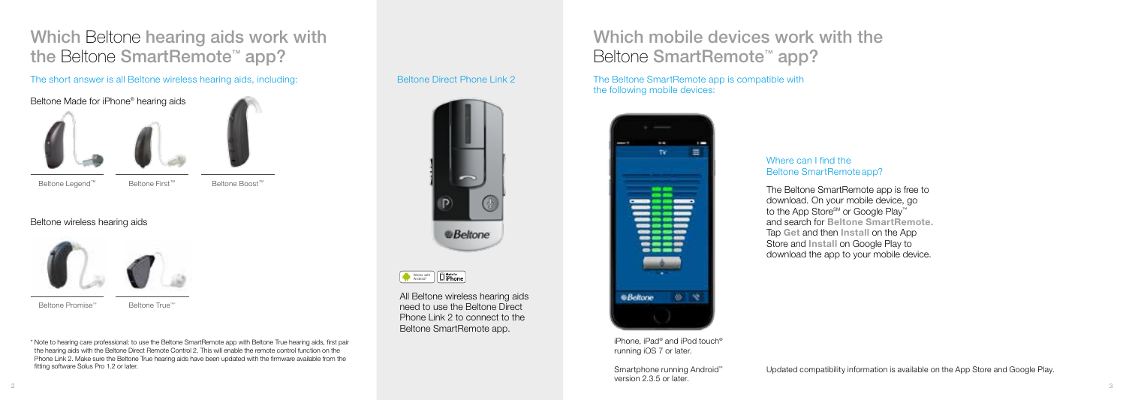## Which Beltone hearing aids work with the Beltone SmartRemote™ app?

The short answer is all Beltone wireless hearing aids, including: The Beltone Direct Phone Link 2 The Beltone SmartRemote app is compatible with



Beltone wireless hearing aids



Beltone Promise™

Beltone True™

\* Note to hearing care professional: to use the Beltone SmartRemote app with Beltone True hearing aids, first pair the hearing aids with the Beltone Direct Remote Control 2. This will enable the remote control function on the Phone Link 2. Make sure the Beltone True hearing aids have been updated with the firmware available from the fitting software Solus Pro 1.2 or later.

### Beltone Direct Phone Link 2



Works with<br>Android<sup>\*\*</sup>

All Beltone wireless hearing aids need to use the Beltone Direct Phone Link 2 to connect to the Beltone SmartRemote app.

## Which mobile devices work with the Beltone SmartRemote<sup>™</sup> app?

# the following mobile devices:



#### iPhone, iPad® and iPod touch® running iOS 7 or later.

Smartphone running Android™ version 2.3.5 or later.

#### Where can I find the Beltone SmartRemote app?

The Beltone SmartRemote app is free to download. On your mobile device, go to the App Store<sup>SM</sup> or Google Play™ and search for Beltone SmartRemote. Tap Get and then Install on the App Store and Install on Google Play to download the app to your mobile device.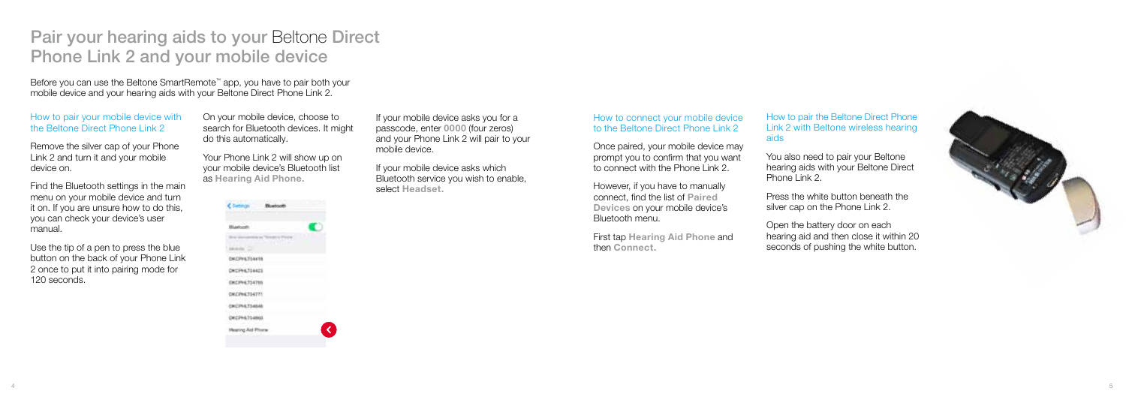## Pair your hearing aids to your Beltone Direct Phone Link 2 and your mobile device

Before you can use the Beltone SmartRemote™ app, you have to pair both your mobile device and your hearing aids with your Beltone Direct Phone Link 2.

#### How to pair your mobile device with the Beltone Direct Phone Link 2

Remove the silver cap of your Phone Link 2 and turn it and your mobile device on.

Find the Bluetooth settings in the main menu on your mobile device and turn it on. If you are unsure how to do this, you can check your device's user manual.

Use the tip of a pen to press the blue button on the back of your Phone Link 2 once to put it into pairing mode for 120 seconds.

On your mobile device, choose to search for Bluetooth devices. It might do this automatically.

Your Phone Link 2 will show up on your mobile device's Bluetooth list as Hearing Aid Phone.

| あまに (内容) 等                  |   |
|-----------------------------|---|
| 73<br><b>Bluebooth</b>      |   |
|                             | ۱ |
|                             |   |
| 6,7544<br>DATA              |   |
| 94,704423<br>ï              |   |
| ź<br><b>WITTH</b>           |   |
| ł<br>۹<br>DKCPH4314771<br>÷ |   |
| ١<br>CROWNA TRANA           |   |
| DECPH<br>E31/4861           |   |
| ing Aid Phon                |   |
|                             |   |

If your mobile device asks you for a passcode, enter 0000 (four zeros) and your Phone Link 2 will pair to your mobile device.

If your mobile device asks which Bluetooth service you wish to enable, select Headset.

#### How to connect your mobile device to the Beltone Direct Phone Link 2

Once paired, your mobile device may prompt you to confirm that you want to connect with the Phone Link 2

However, if you have to manually connect, find the list of Paired Devices on your mobile device's Bluetooth menu.

First tap Hearing Aid Phone and then Connect.

How to pair the Beltone Direct Phone Link 2 with Beltone wireless hearing aids

You also need to pair your Beltone hearing aids with your Beltone Direct Phone Link 2

Press the white button beneath the silver cap on the Phone Link 2.

Open the battery door on each hearing aid and then close it within 20 seconds of pushing the white button.

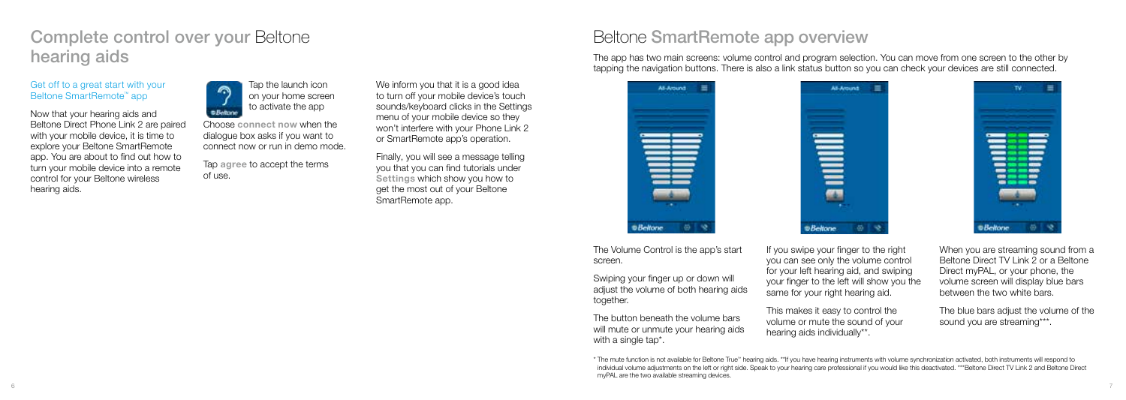## Complete control over your Beltone hearing aids

#### Get off to a great start with your Beltone SmartRemote™ app

Now that your hearing aids and Beltone Direct Phone Link 2 are paired with your mobile device, it is time to explore your Beltone SmartRemote app. You are about to find out how to turn your mobile device into a remote control for your Beltone wireless hearing aids.



Choose connect now when the dialogue box asks if you want to connect now or run in demo mode.

Tap agree to accept the terms of use.

We inform you that it is a good idea to turn off your mobile device's touch sounds/keyboard clicks in the Settings menu of your mobile device so they won't interfere with your Phone Link 2 or SmartRemote app's operation.

Finally, you will see a message telling you that you can find tutorials under Settings which show you how to get the most out of your Beltone SmartRemote app.

### Beltone SmartRemote app overview

The app has two main screens: volume control and program selection. You can move from one screen to the other by tapping the navigation buttons. There is also a link status button so you can check your devices are still connected.



All-Arcund  $\equiv$ 侧  $@$ Beltone  $0 - 9$ 

--------— ------ $5 - 9$ **E.Religna** 

The Volume Control is the app's start screen.

Swiping your finger up or down will adjust the volume of both hearing aids together.

The button beneath the volume bars will mute or unmute your hearing aids with a single tap<sup>\*</sup>.

If you swipe your finger to the right you can see only the volume control for your left hearing aid, and swiping your finger to the left will show you the same for your right hearing aid.

This makes it easy to control the volume or mute the sound of your hearing aids individually\*\*.

When you are streaming sound from a Beltone Direct TV Link 2 or a Beltone Direct myPAL, or your phone, the volume screen will display blue bars between the two white bars.

The blue bars adjust the volume of the sound you are streaming\*\*\*.

\* The mute function is not available for Beltone True™ hearing aids. \*\*If you have hearing instruments with volume synchronization activated, both instruments will respond to individual volume adjustments on the left or right side. Speak to your hearing care professional if you would like this deactivated. \*\*\*Beltone Direct TV Link 2 and Beltone Direct myPAL are the two available streaming devices.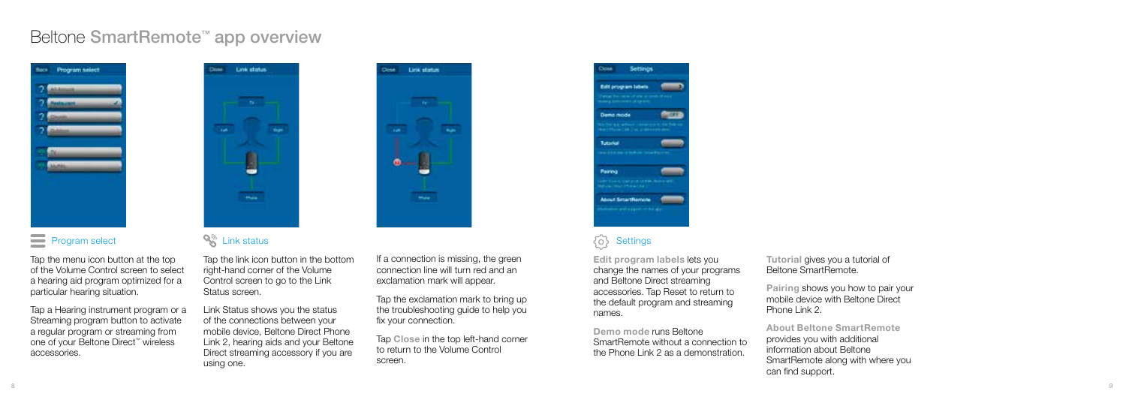### Beltone SmartRemote™ app overview



### **Program select**

Tap the menu icon button at the top of the Volume Control screen to select a hearing aid program optimized for a particular hearing situation.

Tap a Hearing instrument program or a Streaming program button to activate a regular program or streaming from one of your Beltone Direct™ wireless accessories.



### **SA** Link status

Tap the link icon button in the bottom right-hand corner of the Volume Control screen to go to the Link Status screen.

Link Status shows you the status of the connections between your mobile device, Beltone Direct Phone Link 2, hearing aids and your Beltone Direct streaming accessory if you are using one.

If a connection is missing, the green connection line will turn red and an exclamation mark will appear.

**They shakes** 

**Contract Contract Contract** 

녤

 $\bullet$ 

**Change** 

Tap the exclamation mark to bring up the troubleshooting guide to help you fix your connection.

Tap Close in the top left-hand corner to return to the Volume Control screen.



#### ਨਿੰ **Settings**

Edit program labels lets you change the names of your programs and Beltone Direct streaming accessories. Tap Reset to return to the default program and streaming names.

Demo mode runs Beltone SmartRemote without a connection to the Phone Link 2 as a demonstration.

Tutorial gives you a tutorial of Beltone SmartRemote.

Pairing shows you how to pair your mobile device with Beltone Direct Phone Link 2.

About Beltone SmartRemote provides you with additional information about Beltone SmartRemote along with where you can find support.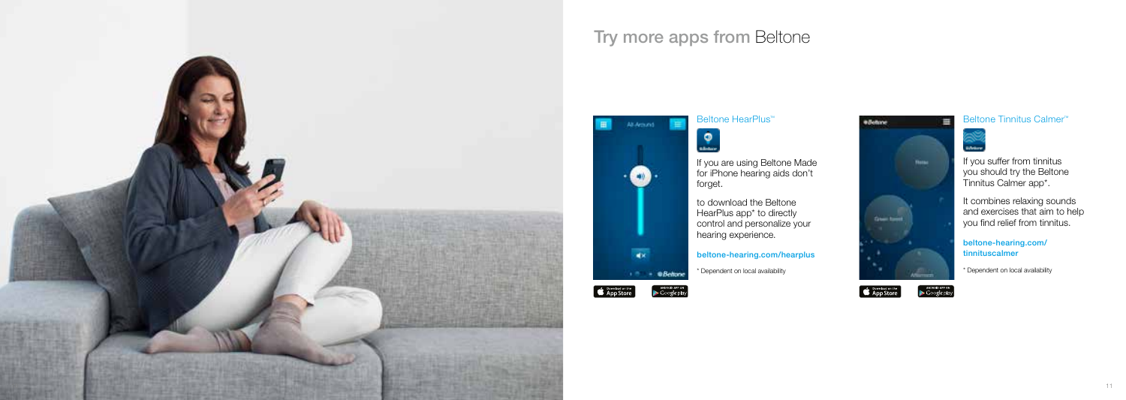

### Try more apps from Beltone



# Beltone HearPlus™



Beltone Tinnitus Calmer™



If you suffer from tinnitus you should try the Beltone Tinnitus Calmer app\*.

It combines relaxing sounds and exercises that aim to help you find relief from tinnitus.

beltone-hearing.com/ tinnituscalmer

\* Dependent on local availability